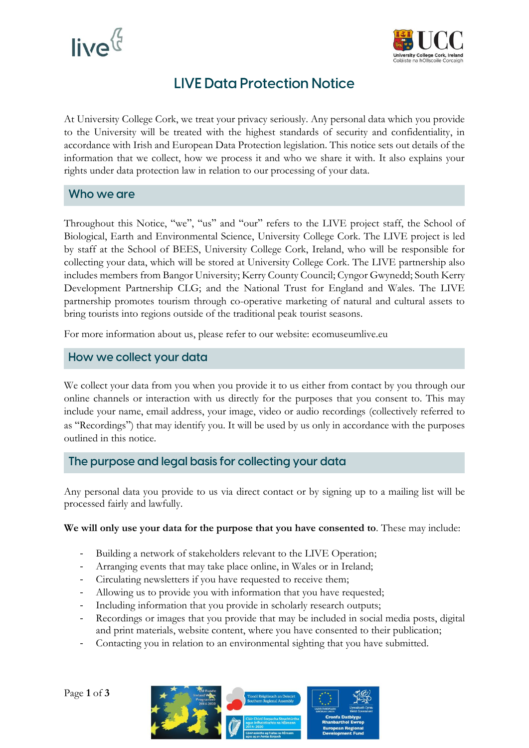



# **LIVE Data Protection Notice**

At University College Cork, we treat your privacy seriously. Any personal data which you provide to the University will be treated with the highest standards of security and confidentiality, in accordance with Irish and European Data Protection legislation. This notice sets out details of the information that we collect, how we process it and who we share it with. It also explains your rights under data protection law in relation to our processing of your data.

### Who we are

Throughout this Notice, "we", "us" and "our" refers to the LIVE project staff, the School of Biological, Earth and Environmental Science, University College Cork. The LIVE project is led by staff at the School of BEES, University College Cork, Ireland, who will be responsible for collecting your data, which will be stored at University College Cork. The LIVE partnership also includes members from Bangor University; Kerry County Council; Cyngor Gwynedd; South Kerry Development Partnership CLG; and the National Trust for England and Wales. The LIVE partnership promotes tourism through co-operative marketing of natural and cultural assets to bring tourists into regions outside of the traditional peak tourist seasons.

For more information about us, please refer to our website: ecomuseumlive.eu

# How we collect your data

We collect your data from you when you provide it to us either from contact by you through our online channels or interaction with us directly for the purposes that you consent to. This may include your name, email address, your image, video or audio recordings (collectively referred to as "Recordings") that may identify you. It will be used by us only in accordance with the purposes outlined in this notice.

# The purpose and legal basis for collecting your data

Any personal data you provide to us via direct contact or by signing up to a mailing list will be processed fairly and lawfully.

#### **We will only use your data for the purpose that you have consented to**. These may include:

- Building a network of stakeholders relevant to the LIVE Operation;
- Arranging events that may take place online, in Wales or in Ireland;
- Circulating newsletters if you have requested to receive them;
- Allowing us to provide you with information that you have requested;
- Including information that you provide in scholarly research outputs;
- Recordings or images that you provide that may be included in social media posts, digital and print materials, website content, where you have consented to their publication;
- Contacting you in relation to an environmental sighting that you have submitted.

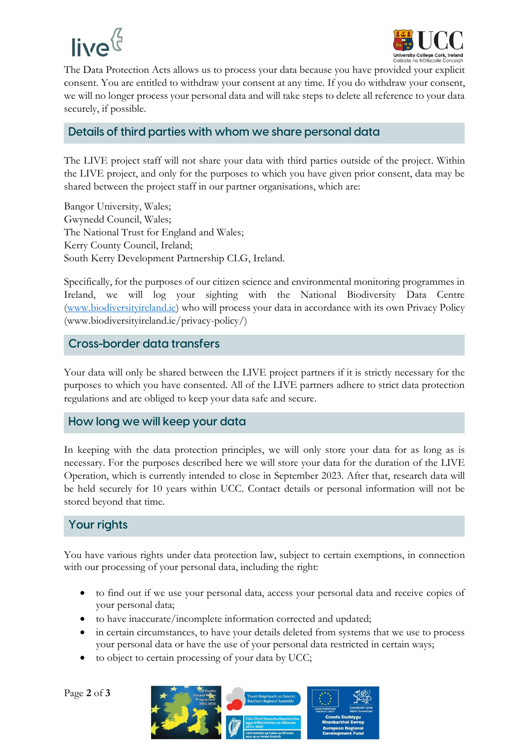



The Data Protection Acts allows us to process your data because you have provided your explicit consent. You are entitled to withdraw your consent at any time. If you do withdraw your consent, we will no longer process your personal data and will take steps to delete all reference to your data securely, if possible.

## Details of third parties with whom we share personal data

The LIVE project staff will not share your data with third parties outside of the project. Within the LIVE project, and only for the purposes to which you have given prior consent, data may be shared between the project staff in our partner organisations, which are:

Bangor University, Wales; Gwynedd Council, Wales; The National Trust for England and Wales; Kerry County Council, Ireland; South Kerry Development Partnership CLG, Ireland.

Specifically, for the purposes of our citizen science and environmental monitoring programmes in Ireland, we will log your sighting with the National Biodiversity Data Centre [\(www.biodiversityireland.ie\)](http://www.biodiversityireland.ie/) who will process your data in accordance with its own Privacy Policy (www.biodiversityireland.ie/privacy-policy/)

### Cross-border data transfers

Your data will only be shared between the LIVE project partners if it is strictly necessary for the purposes to which you have consented. All of the LIVE partners adhere to strict data protection regulations and are obliged to keep your data safe and secure.

### How long we will keep your data

In keeping with the data protection principles, we will only store your data for as long as is necessary. For the purposes described here we will store your data for the duration of the LIVE Operation, which is currently intended to close in September 2023. After that, research data will be held securely for 10 years within UCC. Contact details or personal information will not be stored beyond that time.

### **Your rights**

You have various rights under data protection law, subject to certain exemptions, in connection with our processing of your personal data, including the right:

- to find out if we use your personal data, access your personal data and receive copies of your personal data;
- to have inaccurate/incomplete information corrected and updated;
- in certain circumstances, to have your details deleted from systems that we use to process your personal data or have the use of your personal data restricted in certain ways;
- to object to certain processing of your data by UCC;